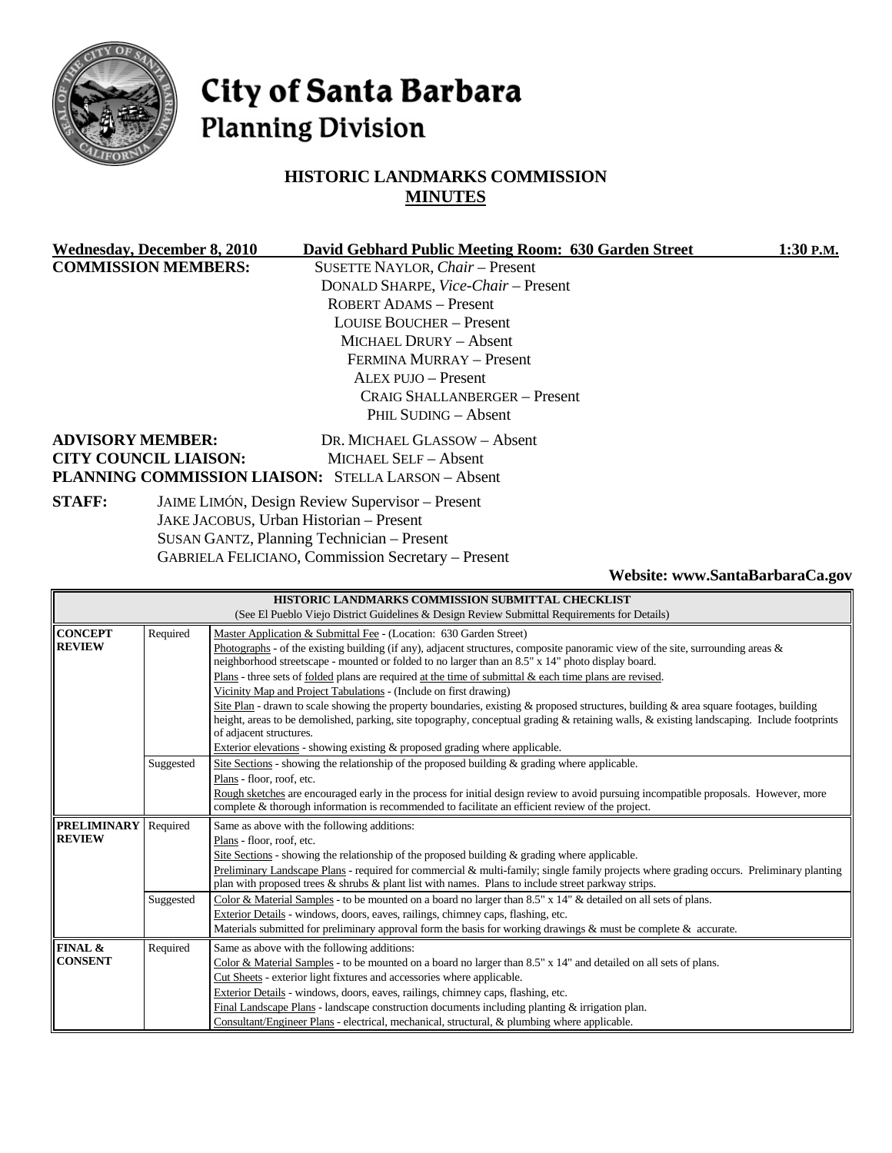

# City of Santa Barbara **Planning Division**

## **HISTORIC LANDMARKS COMMISSION MINUTES**

|                                                                                                             | <b>Wednesday, December 8, 2010</b> | David Gebhard Public Meeting Room: 630 Garden Street | 1:30 P.M. |
|-------------------------------------------------------------------------------------------------------------|------------------------------------|------------------------------------------------------|-----------|
| <b>COMMISSION MEMBERS:</b>                                                                                  |                                    | SUSETTE NAYLOR, Chair - Present                      |           |
|                                                                                                             |                                    | DONALD SHARPE, Vice-Chair - Present                  |           |
|                                                                                                             |                                    | <b>ROBERT ADAMS - Present</b>                        |           |
|                                                                                                             |                                    | <b>LOUISE BOUCHER – Present</b>                      |           |
|                                                                                                             |                                    | MICHAEL DRURY - Absent                               |           |
|                                                                                                             |                                    | FERMINA MURRAY - Present                             |           |
|                                                                                                             |                                    | $ALEX$ PUJO $-$ Present                              |           |
|                                                                                                             |                                    | CRAIG SHALLANBERGER – Present                        |           |
|                                                                                                             |                                    | PHIL SUDING - Absent                                 |           |
|                                                                                                             | <b>ADVISORY MEMBER:</b>            | DR. MICHAEL GLASSOW - Absent                         |           |
|                                                                                                             | <b>CITY COUNCIL LIAISON:</b>       | MICHAEL SELF - Absent                                |           |
|                                                                                                             |                                    | PLANNING COMMISSION LIAISON: STELLA LARSON - Absent  |           |
| <b>STAFF:</b><br>JAIME LIMÓN, Design Review Supervisor - Present<br>JAKE JACOBUS, Urban Historian - Present |                                    |                                                      |           |
|                                                                                                             |                                    |                                                      |           |
|                                                                                                             |                                    | SHEAN GANTZ Planning Technician Present              |           |

SUSAN GANTZ, Planning Technician – Present GABRIELA FELICIANO, Commission Secretary – Present

**Website: www.SantaBarbaraCa.gov** 

|                    |           | HISTORIC LANDMARKS COMMISSION SUBMITTAL CHECKLIST                                                                                                                                                                                        |  |  |
|--------------------|-----------|------------------------------------------------------------------------------------------------------------------------------------------------------------------------------------------------------------------------------------------|--|--|
|                    |           | (See El Pueblo Viejo District Guidelines & Design Review Submittal Requirements for Details)                                                                                                                                             |  |  |
| <b>CONCEPT</b>     | Required  | Master Application & Submittal Fee - (Location: 630 Garden Street)                                                                                                                                                                       |  |  |
| <b>REVIEW</b>      |           | Photographs - of the existing building (if any), adjacent structures, composite panoramic view of the site, surrounding areas $\&$                                                                                                       |  |  |
|                    |           | neighborhood streetscape - mounted or folded to no larger than an 8.5" x 14" photo display board.                                                                                                                                        |  |  |
|                    |           | Plans - three sets of <u>folded</u> plans are required at the time of submittal & each time plans are revised.                                                                                                                           |  |  |
|                    |           | Vicinity Map and Project Tabulations - (Include on first drawing)                                                                                                                                                                        |  |  |
|                    |           | Site Plan - drawn to scale showing the property boundaries, existing & proposed structures, building & area square footages, building                                                                                                    |  |  |
|                    |           | height, areas to be demolished, parking, site topography, conceptual grading & retaining walls, & existing landscaping. Include footprints                                                                                               |  |  |
|                    |           | of adjacent structures.                                                                                                                                                                                                                  |  |  |
|                    |           | Exterior elevations - showing existing $\&$ proposed grading where applicable.                                                                                                                                                           |  |  |
|                    | Suggested | Site Sections - showing the relationship of the proposed building $\&$ grading where applicable.                                                                                                                                         |  |  |
|                    |           | Plans - floor, roof, etc.                                                                                                                                                                                                                |  |  |
|                    |           | Rough sketches are encouraged early in the process for initial design review to avoid pursuing incompatible proposals. However, more<br>complete & thorough information is recommended to facilitate an efficient review of the project. |  |  |
|                    |           |                                                                                                                                                                                                                                          |  |  |
|                    |           |                                                                                                                                                                                                                                          |  |  |
| <b>PRELIMINARY</b> | Required  | Same as above with the following additions:                                                                                                                                                                                              |  |  |
| <b>REVIEW</b>      |           | Plans - floor, roof, etc.                                                                                                                                                                                                                |  |  |
|                    |           | Site Sections - showing the relationship of the proposed building $\&$ grading where applicable.                                                                                                                                         |  |  |
|                    |           | Preliminary Landscape Plans - required for commercial & multi-family; single family projects where grading occurs. Preliminary planting                                                                                                  |  |  |
|                    |           | plan with proposed trees $\&$ shrubs $\&$ plant list with names. Plans to include street parkway strips.                                                                                                                                 |  |  |
|                    | Suggested | Color & Material Samples - to be mounted on a board no larger than $8.5" \times 14"$ & detailed on all sets of plans.                                                                                                                    |  |  |
|                    |           | Exterior Details - windows, doors, eaves, railings, chimney caps, flashing, etc.                                                                                                                                                         |  |  |
|                    |           | Materials submitted for preliminary approval form the basis for working drawings $\&$ must be complete $\&$ accurate.                                                                                                                    |  |  |
| <b>FINAL &amp;</b> | Required  | Same as above with the following additions:                                                                                                                                                                                              |  |  |
| <b>CONSENT</b>     |           | Color & Material Samples - to be mounted on a board no larger than 8.5" x 14" and detailed on all sets of plans.                                                                                                                         |  |  |
|                    |           | Cut Sheets - exterior light fixtures and accessories where applicable.                                                                                                                                                                   |  |  |
|                    |           | Exterior Details - windows, doors, eaves, railings, chimney caps, flashing, etc.                                                                                                                                                         |  |  |
|                    |           | Final Landscape Plans - landscape construction documents including planting & irrigation plan.<br>Consultant/Engineer Plans - electrical, mechanical, structural, & plumbing where applicable.                                           |  |  |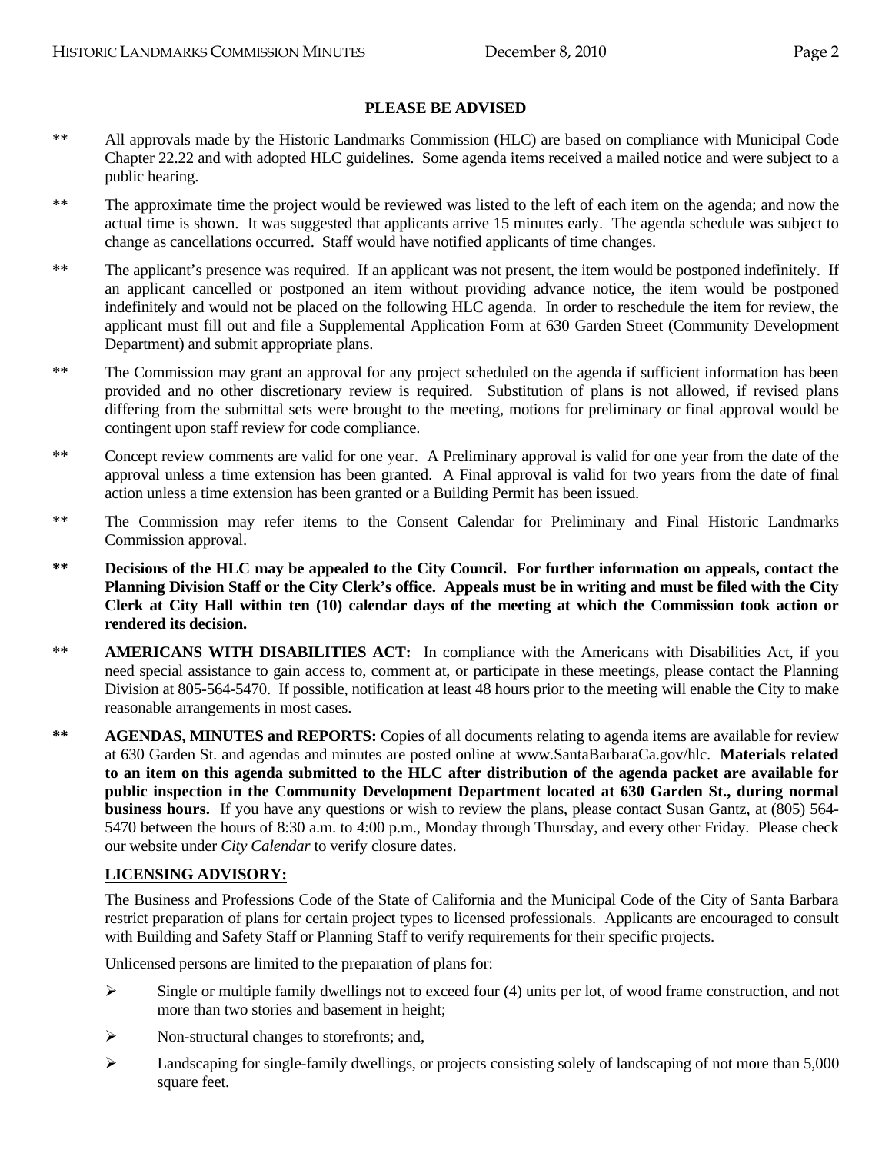- \*\* All approvals made by the Historic Landmarks Commission (HLC) are based on compliance with Municipal Code Chapter 22.22 and with adopted HLC guidelines. Some agenda items received a mailed notice and were subject to a public hearing.
- \*\* The approximate time the project would be reviewed was listed to the left of each item on the agenda; and now the actual time is shown. It was suggested that applicants arrive 15 minutes early. The agenda schedule was subject to change as cancellations occurred. Staff would have notified applicants of time changes.
- \*\* The applicant's presence was required. If an applicant was not present, the item would be postponed indefinitely. If an applicant cancelled or postponed an item without providing advance notice, the item would be postponed indefinitely and would not be placed on the following HLC agenda. In order to reschedule the item for review, the applicant must fill out and file a Supplemental Application Form at 630 Garden Street (Community Development Department) and submit appropriate plans.
- \*\* The Commission may grant an approval for any project scheduled on the agenda if sufficient information has been provided and no other discretionary review is required. Substitution of plans is not allowed, if revised plans differing from the submittal sets were brought to the meeting, motions for preliminary or final approval would be contingent upon staff review for code compliance.
- \*\* Concept review comments are valid for one year. A Preliminary approval is valid for one year from the date of the approval unless a time extension has been granted. A Final approval is valid for two years from the date of final action unless a time extension has been granted or a Building Permit has been issued.
- \*\* The Commission may refer items to the Consent Calendar for Preliminary and Final Historic Landmarks Commission approval.
- **\*\* Decisions of the HLC may be appealed to the City Council. For further information on appeals, contact the Planning Division Staff or the City Clerk's office. Appeals must be in writing and must be filed with the City Clerk at City Hall within ten (10) calendar days of the meeting at which the Commission took action or rendered its decision.**
- \*\* **AMERICANS WITH DISABILITIES ACT:** In compliance with the Americans with Disabilities Act, if you need special assistance to gain access to, comment at, or participate in these meetings, please contact the Planning Division at 805-564-5470. If possible, notification at least 48 hours prior to the meeting will enable the City to make reasonable arrangements in most cases.
- **\*\* AGENDAS, MINUTES and REPORTS:** Copies of all documents relating to agenda items are available for review at 630 Garden St. and agendas and minutes are posted online at www.SantaBarbaraCa.gov/hlc. **Materials related to an item on this agenda submitted to the HLC after distribution of the agenda packet are available for public inspection in the Community Development Department located at 630 Garden St., during normal business hours.** If you have any questions or wish to review the plans, please contact Susan Gantz, at (805) 564- 5470 between the hours of 8:30 a.m. to 4:00 p.m., Monday through Thursday, and every other Friday. Please check our website under *City Calendar* to verify closure dates.

#### **LICENSING ADVISORY:**

The Business and Professions Code of the State of California and the Municipal Code of the City of Santa Barbara restrict preparation of plans for certain project types to licensed professionals. Applicants are encouraged to consult with Building and Safety Staff or Planning Staff to verify requirements for their specific projects.

Unlicensed persons are limited to the preparation of plans for:

- $\triangleright$  Single or multiple family dwellings not to exceed four (4) units per lot, of wood frame construction, and not more than two stories and basement in height;
- ¾ Non-structural changes to storefronts; and,
- ¾ Landscaping for single-family dwellings, or projects consisting solely of landscaping of not more than 5,000 square feet.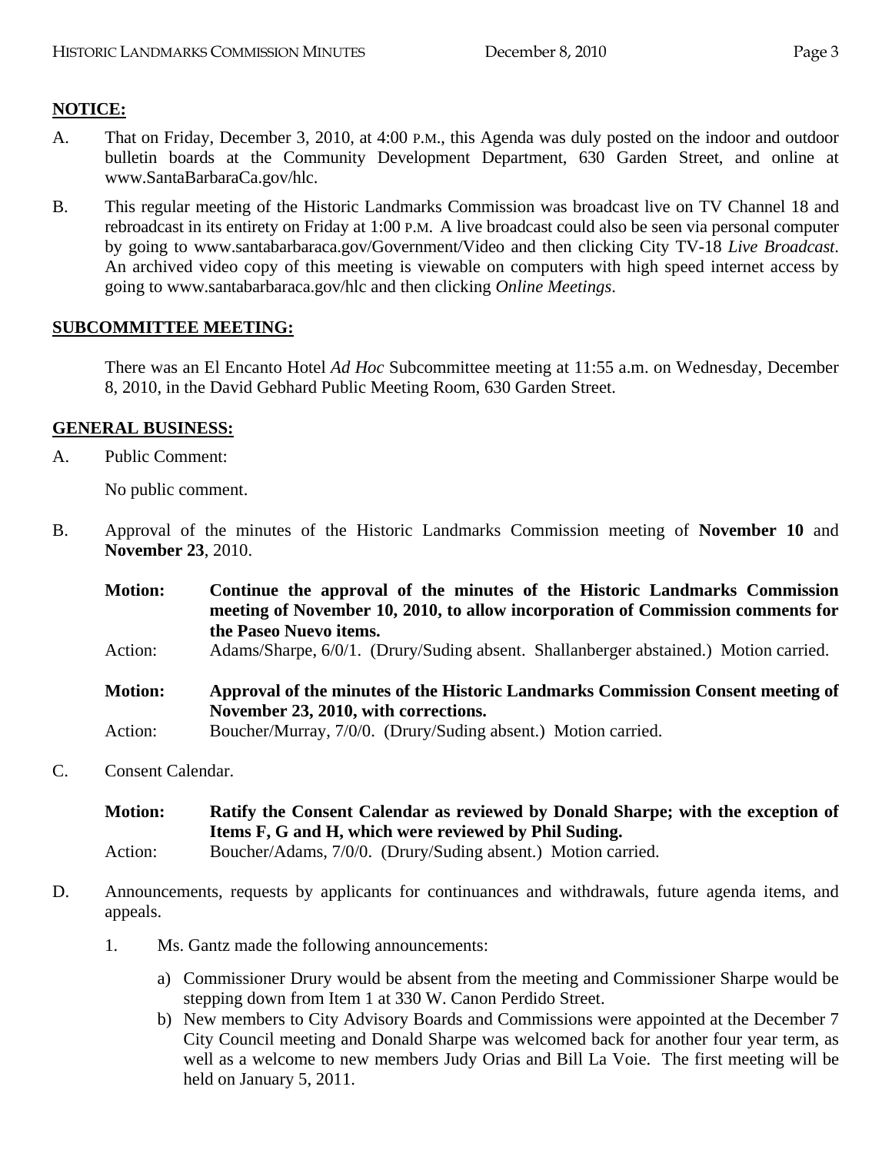# **NOTICE:**

- A. That on Friday, December 3, 2010, at 4:00 P.M., this Agenda was duly posted on the indoor and outdoor bulletin boards at the Community Development Department, 630 Garden Street, and online at www.SantaBarbaraCa.gov/hlc.
- B. This regular meeting of the Historic Landmarks Commission was broadcast live on TV Channel 18 and rebroadcast in its entirety on Friday at 1:00 P.M. A live broadcast could also be seen via personal computer by going to www.santabarbaraca.gov/Government/Video and then clicking City TV-18 *Live Broadcast*. An archived video copy of this meeting is viewable on computers with high speed internet access by going to www.santabarbaraca.gov/hlc and then clicking *Online Meetings*.

## **SUBCOMMITTEE MEETING:**

There was an El Encanto Hotel *Ad Hoc* Subcommittee meeting at 11:55 a.m. on Wednesday, December 8, 2010, in the David Gebhard Public Meeting Room, 630 Garden Street.

## **GENERAL BUSINESS:**

A. Public Comment:

No public comment.

B. Approval of the minutes of the Historic Landmarks Commission meeting of **November 10** and **November 23**, 2010.

| <b>Motion:</b> | Continue the approval of the minutes of the Historic Landmarks Commission<br>meeting of November 10, 2010, to allow incorporation of Commission comments for<br>the Paseo Nuevo items. |
|----------------|----------------------------------------------------------------------------------------------------------------------------------------------------------------------------------------|
| Action:        | Adams/Sharpe, 6/0/1. (Drury/Suding absent. Shallanberger abstained.) Motion carried.                                                                                                   |
| <b>Motion:</b> | Approval of the minutes of the Historic Landmarks Commission Consent meeting of<br>November 23, 2010, with corrections.                                                                |
| Action:        | Boucher/Murray, 7/0/0. (Drury/Suding absent.) Motion carried.                                                                                                                          |

C. Consent Calendar.

| <b>Motion:</b> | Ratify the Consent Calendar as reviewed by Donald Sharpe; with the exception of   |
|----------------|-----------------------------------------------------------------------------------|
|                | Items F, G and H, which were reviewed by Phil Suding.                             |
| $A$ otion:     | $Bouchar(\Lambda \cdot \text{dams} - 7/0/0)$ (Drugy/Suding absent) Motion carried |

- Action: Boucher/Adams, 7/0/0. (Drury/Suding absent.) Motion carried.
- D. Announcements, requests by applicants for continuances and withdrawals, future agenda items, and appeals.
	- 1. Ms. Gantz made the following announcements:
		- a) Commissioner Drury would be absent from the meeting and Commissioner Sharpe would be stepping down from Item 1 at 330 W. Canon Perdido Street.
		- b) New members to City Advisory Boards and Commissions were appointed at the December 7 City Council meeting and Donald Sharpe was welcomed back for another four year term, as well as a welcome to new members Judy Orias and Bill La Voie. The first meeting will be held on January 5, 2011.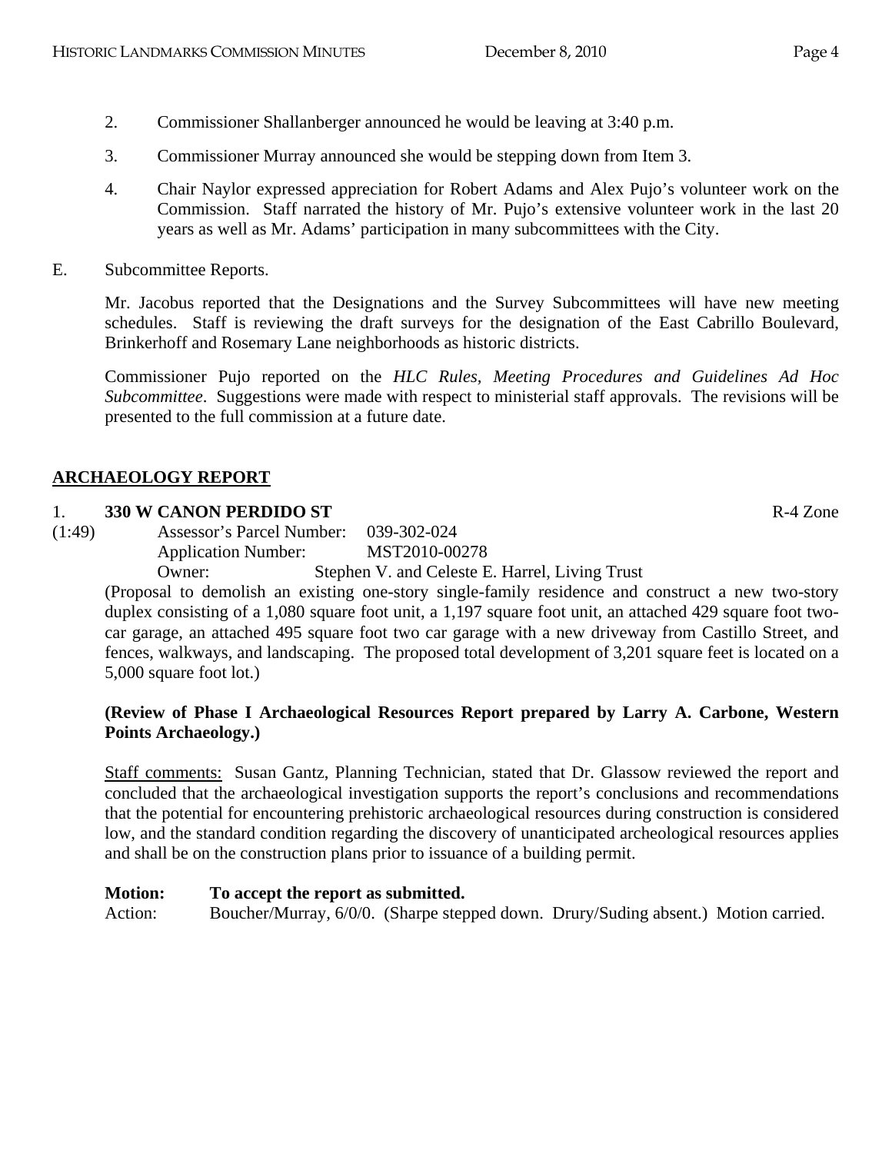- 2. Commissioner Shallanberger announced he would be leaving at 3:40 p.m.
- 3. Commissioner Murray announced she would be stepping down from Item 3.
- 4. Chair Naylor expressed appreciation for Robert Adams and Alex Pujo's volunteer work on the Commission. Staff narrated the history of Mr. Pujo's extensive volunteer work in the last 20 years as well as Mr. Adams' participation in many subcommittees with the City.
- E. Subcommittee Reports.

Mr. Jacobus reported that the Designations and the Survey Subcommittees will have new meeting schedules. Staff is reviewing the draft surveys for the designation of the East Cabrillo Boulevard, Brinkerhoff and Rosemary Lane neighborhoods as historic districts.

Commissioner Pujo reported on the *HLC Rules, Meeting Procedures and Guidelines Ad Hoc Subcommittee*. Suggestions were made with respect to ministerial staff approvals. The revisions will be presented to the full commission at a future date.

## **ARCHAEOLOGY REPORT**

#### 1. **330 W CANON PERDIDO ST** R-4 Zone

(1:49) Assessor's Parcel Number: 039-302-024 Application Number: MST2010-00278

Owner: Stephen V. and Celeste E. Harrel, Living Trust

(Proposal to demolish an existing one-story single-family residence and construct a new two-story duplex consisting of a 1,080 square foot unit, a 1,197 square foot unit, an attached 429 square foot twocar garage, an attached 495 square foot two car garage with a new driveway from Castillo Street, and fences, walkways, and landscaping. The proposed total development of 3,201 square feet is located on a 5,000 square foot lot.)

## **(Review of Phase I Archaeological Resources Report prepared by Larry A. Carbone, Western Points Archaeology.)**

Staff comments: Susan Gantz, Planning Technician, stated that Dr. Glassow reviewed the report and concluded that the archaeological investigation supports the report's conclusions and recommendations that the potential for encountering prehistoric archaeological resources during construction is considered low, and the standard condition regarding the discovery of unanticipated archeological resources applies and shall be on the construction plans prior to issuance of a building permit.

#### **Motion: To accept the report as submitted.**

Action: Boucher/Murray, 6/0/0. (Sharpe stepped down. Drury/Suding absent.) Motion carried.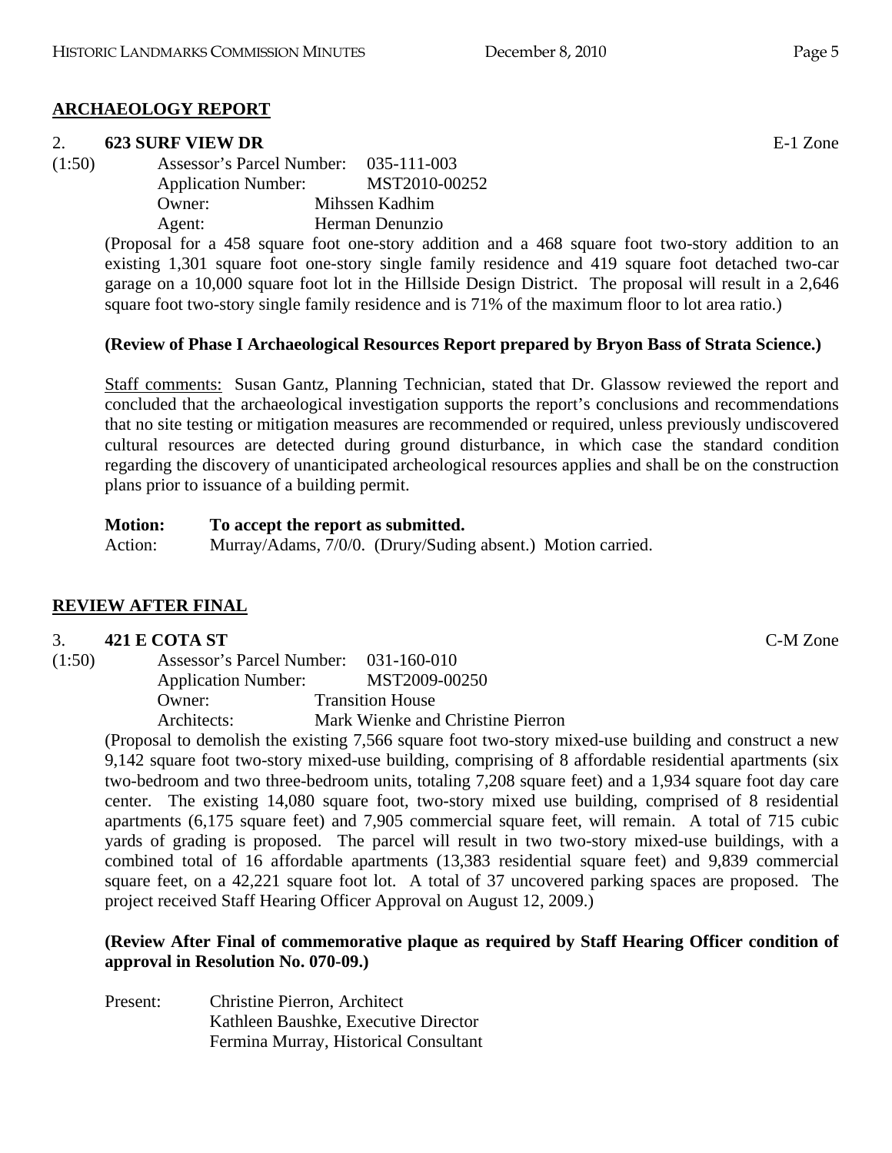# **ARCHAEOLOGY REPORT**

## 2. **623 SURF VIEW DR** E-1 Zone

(1:50) Assessor's Parcel Number: 035-111-003 Application Number: MST2010-00252 Owner: Mihssen Kadhim Agent: Herman Denunzio

> (Proposal for a 458 square foot one-story addition and a 468 square foot two-story addition to an existing 1,301 square foot one-story single family residence and 419 square foot detached two-car garage on a 10,000 square foot lot in the Hillside Design District. The proposal will result in a 2,646 square foot two-story single family residence and is 71% of the maximum floor to lot area ratio.)

# **(Review of Phase I Archaeological Resources Report prepared by Bryon Bass of Strata Science.)**

Staff comments: Susan Gantz, Planning Technician, stated that Dr. Glassow reviewed the report and concluded that the archaeological investigation supports the report's conclusions and recommendations that no site testing or mitigation measures are recommended or required, unless previously undiscovered cultural resources are detected during ground disturbance, in which case the standard condition regarding the discovery of unanticipated archeological resources applies and shall be on the construction plans prior to issuance of a building permit.

**Motion: To accept the report as submitted.**  Action: Murray/Adams, 7/0/0. (Drury/Suding absent.) Motion carried.

# **REVIEW AFTER FINAL**

## 3. **421 E COTA ST** C-M Zone

| (1:50) | Assessor's Parcel Number:  | $031 - 160 - 010$                                                      |
|--------|----------------------------|------------------------------------------------------------------------|
|        | <b>Application Number:</b> | MST2009-00250                                                          |
|        | Owner:                     | <b>Transition House</b>                                                |
|        | Architects:                | Mark Wienke and Christine Pierron                                      |
|        |                            | $(Du)$ and to demoliab the evicting $7.566$ square fact two stages $m$ |

(Proposal to demolish the existing 7,566 square foot two-story mixed-use building and construct a new 9,142 square foot two-story mixed-use building, comprising of 8 affordable residential apartments (six two-bedroom and two three-bedroom units, totaling 7,208 square feet) and a 1,934 square foot day care center. The existing 14,080 square foot, two-story mixed use building, comprised of 8 residential apartments (6,175 square feet) and 7,905 commercial square feet, will remain. A total of 715 cubic yards of grading is proposed. The parcel will result in two two-story mixed-use buildings, with a combined total of 16 affordable apartments (13,383 residential square feet) and 9,839 commercial square feet, on a 42,221 square foot lot. A total of 37 uncovered parking spaces are proposed. The project received Staff Hearing Officer Approval on August 12, 2009.)

## **(Review After Final of commemorative plaque as required by Staff Hearing Officer condition of approval in Resolution No. 070-09.)**

Present: Christine Pierron, Architect Kathleen Baushke, Executive Director Fermina Murray, Historical Consultant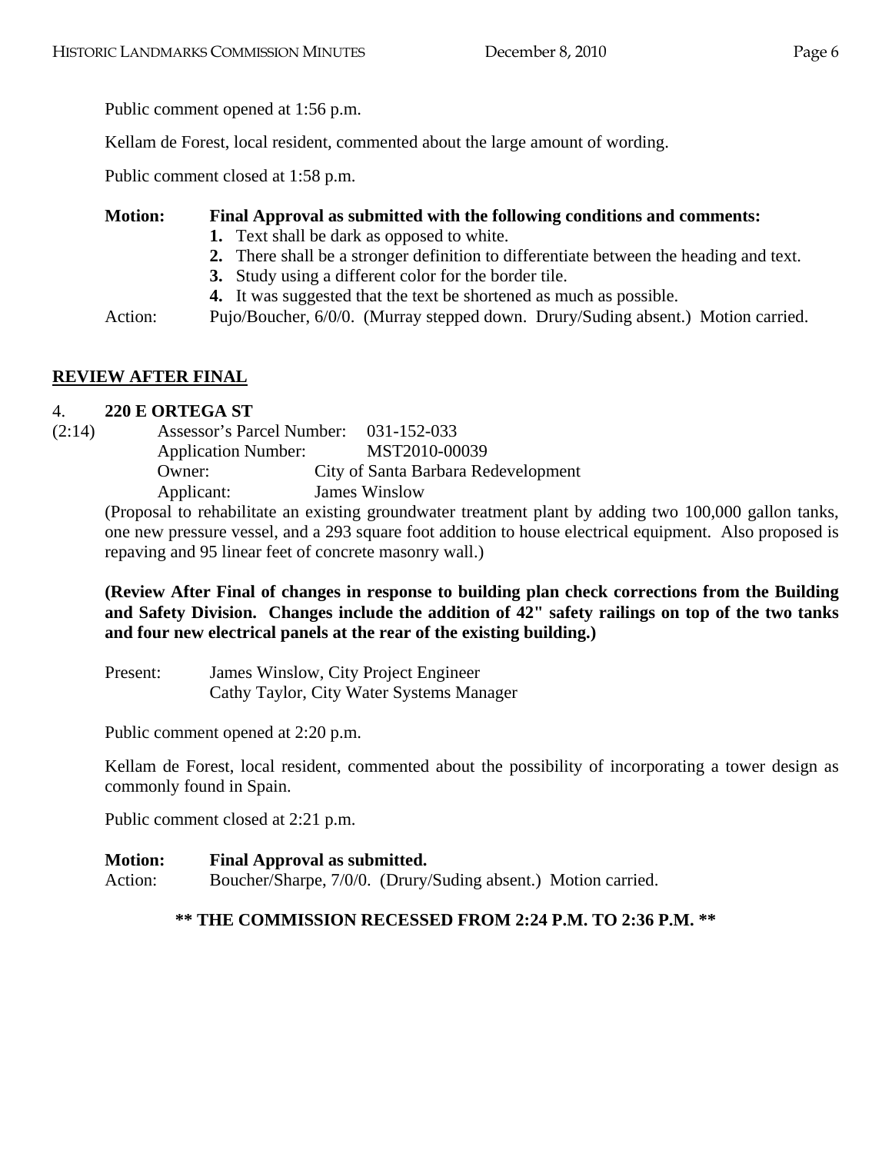Public comment opened at 1:56 p.m.

Kellam de Forest, local resident, commented about the large amount of wording.

Public comment closed at 1:58 p.m.

## **Motion: Final Approval as submitted with the following conditions and comments:**

- **1.** Text shall be dark as opposed to white.
- **2.** There shall be a stronger definition to differentiate between the heading and text.
- **3.** Study using a different color for the border tile.
- **4.** It was suggested that the text be shortened as much as possible.

Action: Pujo/Boucher, 6/0/0. (Murray stepped down. Drury/Suding absent.) Motion carried.

# **REVIEW AFTER FINAL**

## 4. **220 E ORTEGA ST**

(2:14) Assessor's Parcel Number: 031-152-033 Application Number: MST2010-00039 Owner: City of Santa Barbara Redevelopment Applicant: James Winslow

(Proposal to rehabilitate an existing groundwater treatment plant by adding two 100,000 gallon tanks, one new pressure vessel, and a 293 square foot addition to house electrical equipment. Also proposed is repaving and 95 linear feet of concrete masonry wall.)

**(Review After Final of changes in response to building plan check corrections from the Building and Safety Division. Changes include the addition of 42" safety railings on top of the two tanks and four new electrical panels at the rear of the existing building.)** 

Present: James Winslow, City Project Engineer Cathy Taylor, City Water Systems Manager

Public comment opened at 2:20 p.m.

Kellam de Forest, local resident, commented about the possibility of incorporating a tower design as commonly found in Spain.

Public comment closed at 2:21 p.m.

## **Motion: Final Approval as submitted.**

Action: Boucher/Sharpe, 7/0/0. (Drury/Suding absent.) Motion carried.

## **\*\* THE COMMISSION RECESSED FROM 2:24 P.M. TO 2:36 P.M. \*\***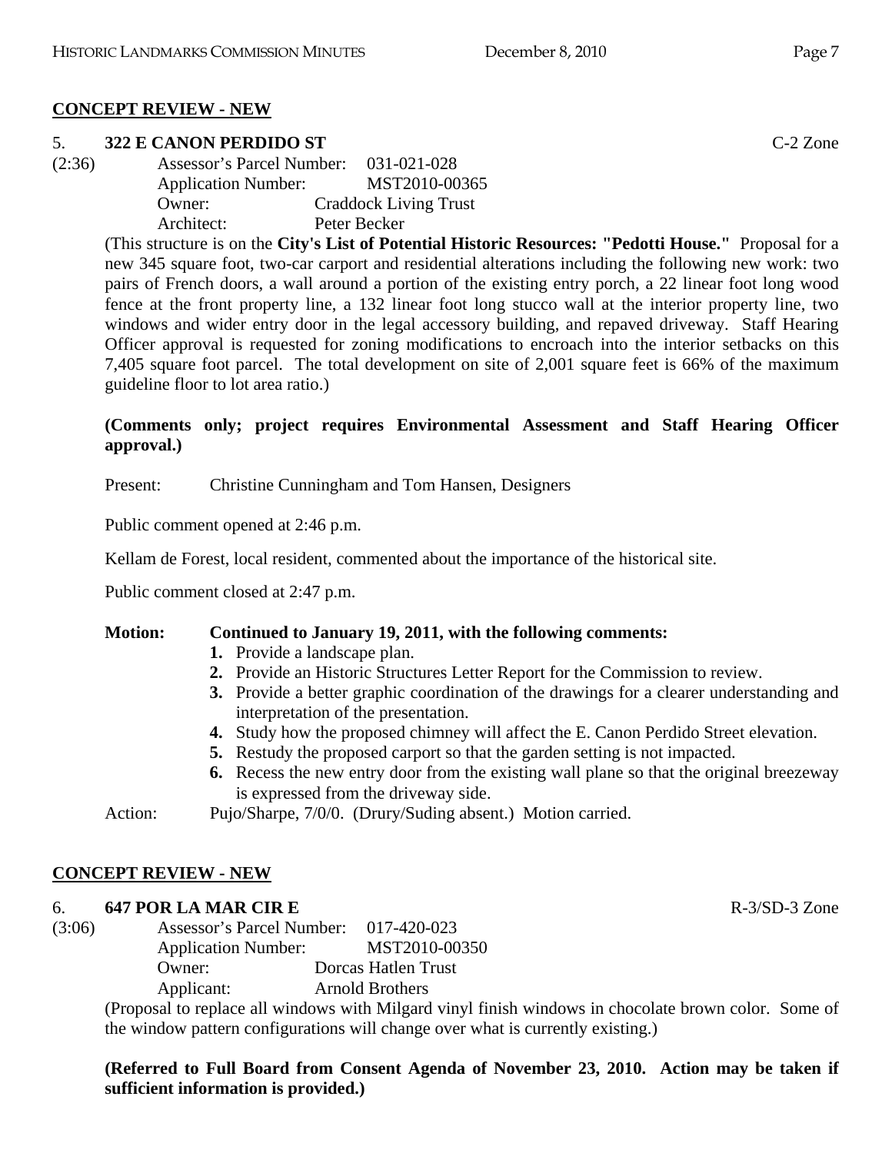# **CONCEPT REVIEW - NEW**

## 5. **322 E CANON PERDIDO ST** C-2 Zone

(2:36) Assessor's Parcel Number: 031-021-028 Application Number: MST2010-00365 Owner: Craddock Living Trust Architect: Peter Becker

> (This structure is on the **City's List of Potential Historic Resources: "Pedotti House."** Proposal for a new 345 square foot, two-car carport and residential alterations including the following new work: two pairs of French doors, a wall around a portion of the existing entry porch, a 22 linear foot long wood fence at the front property line, a 132 linear foot long stucco wall at the interior property line, two windows and wider entry door in the legal accessory building, and repaved driveway. Staff Hearing Officer approval is requested for zoning modifications to encroach into the interior setbacks on this 7,405 square foot parcel. The total development on site of 2,001 square feet is 66% of the maximum guideline floor to lot area ratio.)

## **(Comments only; project requires Environmental Assessment and Staff Hearing Officer approval.)**

Present: Christine Cunningham and Tom Hansen, Designers

Public comment opened at 2:46 p.m.

Kellam de Forest, local resident, commented about the importance of the historical site.

Public comment closed at 2:47 p.m.

# **Motion: Continued to January 19, 2011, with the following comments:**

- **1.** Provide a landscape plan.
- **2.** Provide an Historic Structures Letter Report for the Commission to review.
- **3.** Provide a better graphic coordination of the drawings for a clearer understanding and interpretation of the presentation.
- **4.** Study how the proposed chimney will affect the E. Canon Perdido Street elevation.
- **5.** Restudy the proposed carport so that the garden setting is not impacted.
- **6.** Recess the new entry door from the existing wall plane so that the original breezeway is expressed from the driveway side.

Action: Pujo/Sharpe, 7/0/0. (Drury/Suding absent.) Motion carried.

# **CONCEPT REVIEW - NEW**

# 6. **647 POR LA MAR CIR E** R-3/SD-3 Zone

(3:06) Assessor's Parcel Number: 017-420-023 Application Number: MST2010-00350 Owner: Dorcas Hatlen Trust Applicant: Arnold Brothers

(Proposal to replace all windows with Milgard vinyl finish windows in chocolate brown color. Some of the window pattern configurations will change over what is currently existing.)

# **(Referred to Full Board from Consent Agenda of November 23, 2010. Action may be taken if sufficient information is provided.)**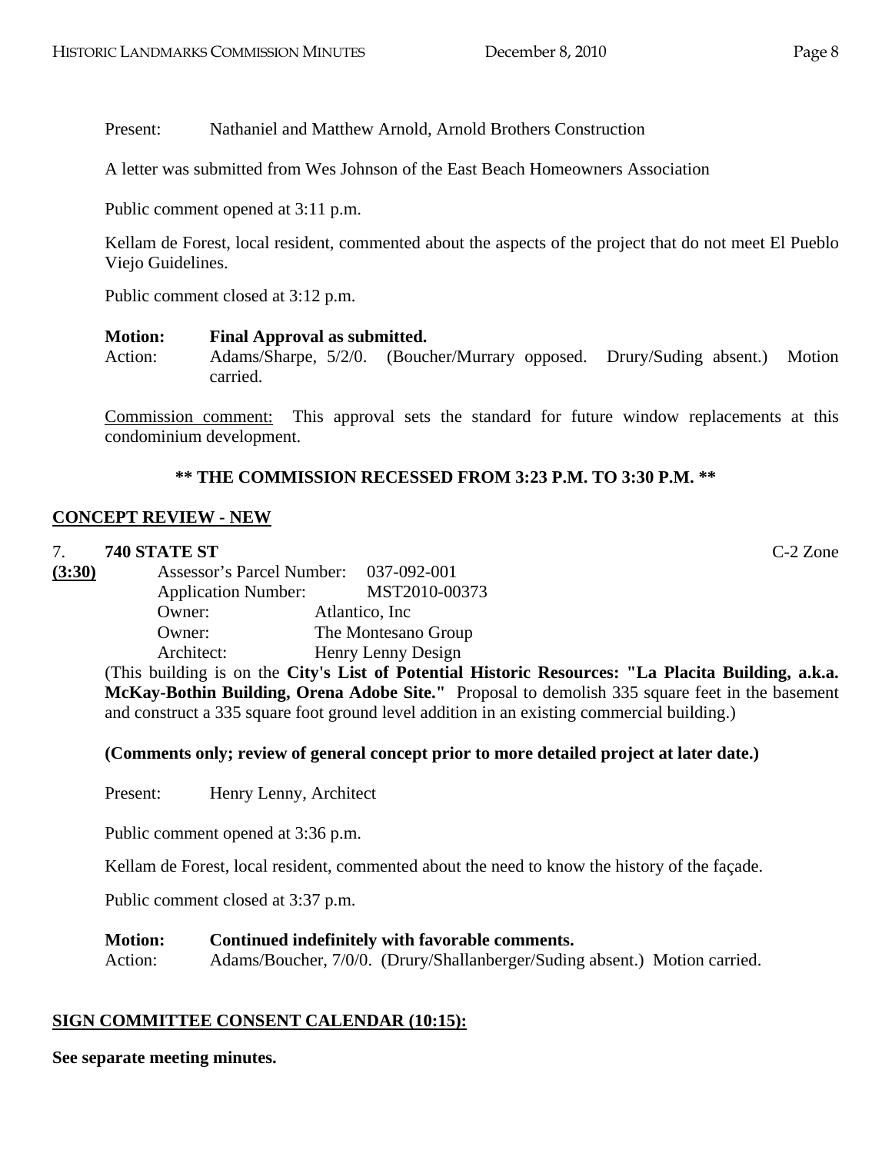Present: Nathaniel and Matthew Arnold, Arnold Brothers Construction

A letter was submitted from Wes Johnson of the East Beach Homeowners Association

Public comment opened at 3:11 p.m.

Kellam de Forest, local resident, commented about the aspects of the project that do not meet El Pueblo Viejo Guidelines.

Public comment closed at 3:12 p.m.

#### **Motion: Final Approval as submitted.**

Action: Adams/Sharpe, 5/2/0. (Boucher/Murrary opposed. Drury/Suding absent.) Motion carried.

Commission comment: This approval sets the standard for future window replacements at this condominium development.

#### **\*\* THE COMMISSION RECESSED FROM 3:23 P.M. TO 3:30 P.M. \*\***

#### **CONCEPT REVIEW - NEW**

#### 7. **740 STATE ST** C-2 Zone

**(3:30)** Assessor's Parcel Number: 037-092-001 Application Number: MST2010-00373 Owner: Atlantico, Inc Owner: The Montesano Group Architect: Henry Lenny Design

(This building is on the **City's List of Potential Historic Resources: "La Placita Building, a.k.a. McKay-Bothin Building, Orena Adobe Site."** Proposal to demolish 335 square feet in the basement and construct a 335 square foot ground level addition in an existing commercial building.)

#### **(Comments only; review of general concept prior to more detailed project at later date.)**

Present: Henry Lenny, Architect

Public comment opened at 3:36 p.m.

Kellam de Forest, local resident, commented about the need to know the history of the façade.

Public comment closed at 3:37 p.m.

#### **Motion: Continued indefinitely with favorable comments.**

Action: Adams/Boucher, 7/0/0. (Drury/Shallanberger/Suding absent.) Motion carried.

## **SIGN COMMITTEE CONSENT CALENDAR (10:15):**

**See separate meeting minutes.**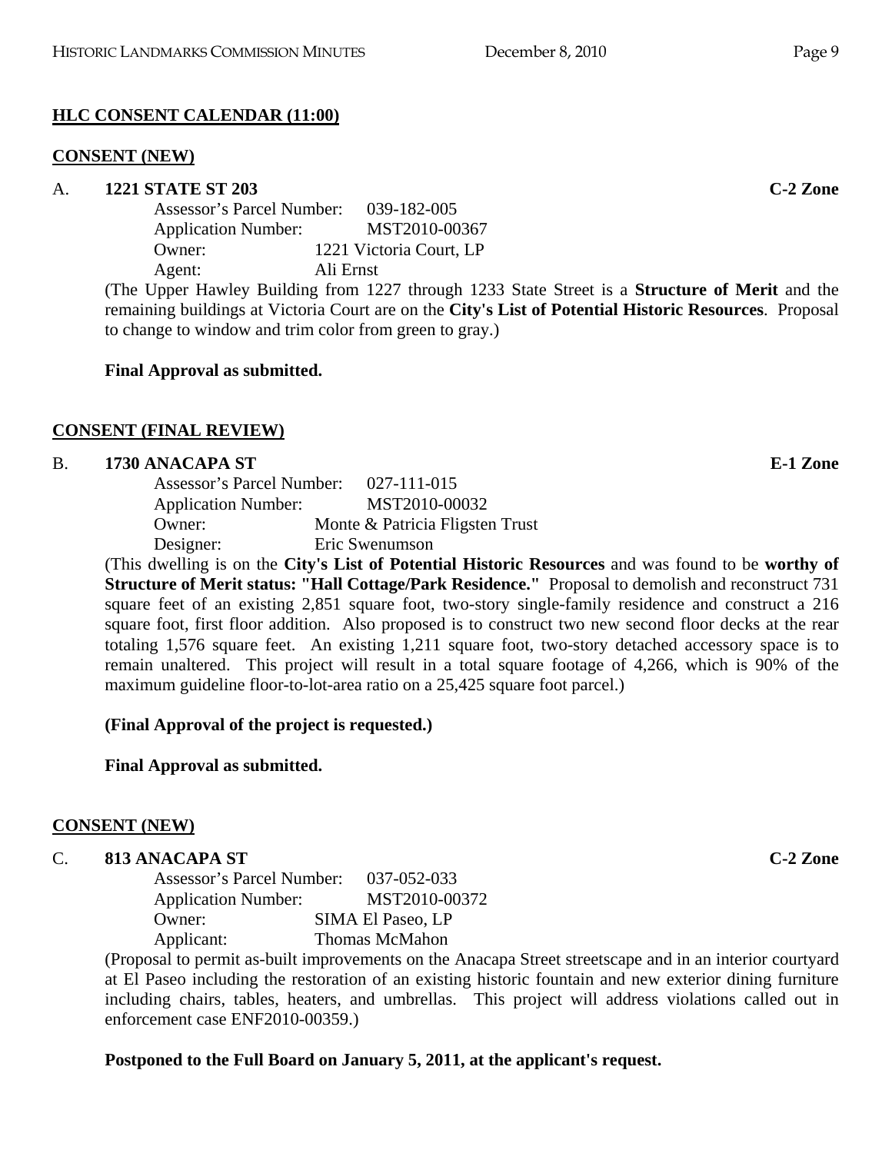# **HLC CONSENT CALENDAR (11:00)**

## **CONSENT (NEW)**

## A. **1221 STATE ST 203 C-2 Zone**

| Assessor's Parcel Number:  | $039 - 182 - 005$       |
|----------------------------|-------------------------|
| <b>Application Number:</b> | MST2010-00367           |
| Owner:                     | 1221 Victoria Court, LP |
| Agent:                     | Ali Ernst               |
|                            |                         |

(The Upper Hawley Building from 1227 through 1233 State Street is a **Structure of Merit** and the remaining buildings at Victoria Court are on the **City's List of Potential Historic Resources**. Proposal to change to window and trim color from green to gray.)

## **Final Approval as submitted.**

# **CONSENT (FINAL REVIEW)**

## B. **1730 ANACAPA ST E-1 Zone**

| Assessor's Parcel Number:  | 027-111-015                     |
|----------------------------|---------------------------------|
| <b>Application Number:</b> | MST2010-00032                   |
| Owner:                     | Monte & Patricia Fligsten Trust |
| Designer:                  | Eric Swenumson                  |
|                            |                                 |

(This dwelling is on the **City's List of Potential Historic Resources** and was found to be **worthy of Structure of Merit status: "Hall Cottage/Park Residence."** Proposal to demolish and reconstruct 731 square feet of an existing 2,851 square foot, two-story single-family residence and construct a 216 square foot, first floor addition. Also proposed is to construct two new second floor decks at the rear totaling 1,576 square feet. An existing 1,211 square foot, two-story detached accessory space is to remain unaltered. This project will result in a total square footage of 4,266, which is 90% of the maximum guideline floor-to-lot-area ratio on a 25,425 square foot parcel.)

# **(Final Approval of the project is requested.)**

**Final Approval as submitted.** 

# **CONSENT (NEW)**

# C. **813 ANACAPA ST C-2 Zone**

| Assessor's Parcel Number:  | 037-052-033              |
|----------------------------|--------------------------|
| <b>Application Number:</b> | MST2010-00372            |
| Owner:                     | <b>SIMA El Paseo, LP</b> |
| Applicant:                 | <b>Thomas McMahon</b>    |

(Proposal to permit as-built improvements on the Anacapa Street streetscape and in an interior courtyard at El Paseo including the restoration of an existing historic fountain and new exterior dining furniture including chairs, tables, heaters, and umbrellas. This project will address violations called out in enforcement case ENF2010-00359.)

# **Postponed to the Full Board on January 5, 2011, at the applicant's request.**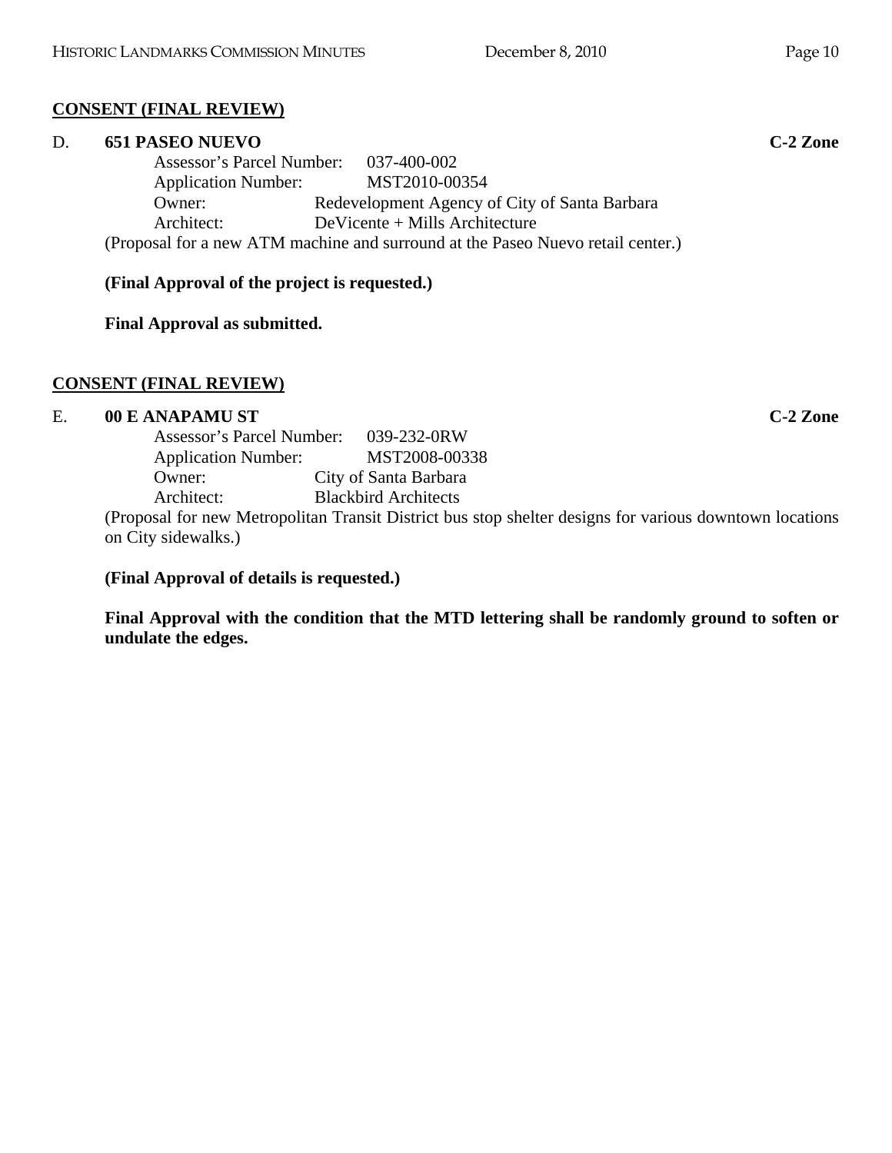# **CONSENT (FINAL REVIEW)**

# D. **651 PASEO NUEVO C-2 Zone**

 Assessor's Parcel Number: 037-400-002 Application Number: MST2010-00354 Owner: Redevelopment Agency of City of Santa Barbara Architect: DeVicente + Mills Architecture (Proposal for a new ATM machine and surround at the Paseo Nuevo retail center.)

**(Final Approval of the project is requested.)** 

**Final Approval as submitted.** 

# **CONSENT (FINAL REVIEW)**

# E. **00 E ANAPAMU ST C-2 Zone**

 Assessor's Parcel Number: 039-232-0RW Application Number: MST2008-00338 Owner: City of Santa Barbara Architect: Blackbird Architects

(Proposal for new Metropolitan Transit District bus stop shelter designs for various downtown locations on City sidewalks.)

**(Final Approval of details is requested.)** 

**Final Approval with the condition that the MTD lettering shall be randomly ground to soften or undulate the edges.**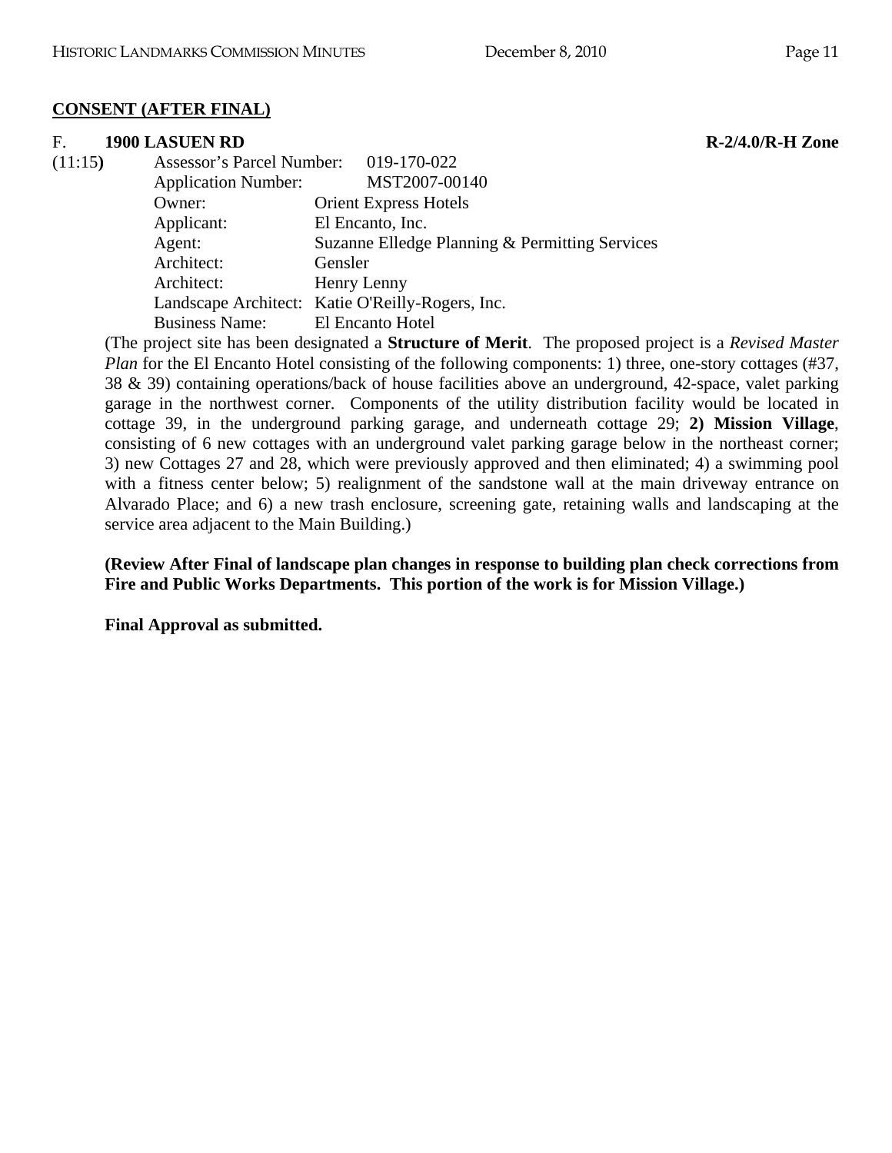## **CONSENT (AFTER FINAL)**

#### F. **1900 LASUEN RD R-2/4.0/R-H Zone**

| (11:15) | Assessor's Parcel Number: 019-170-022 |                                                  |
|---------|---------------------------------------|--------------------------------------------------|
|         | <b>Application Number:</b>            | MST2007-00140                                    |
|         | Owner:                                | <b>Orient Express Hotels</b>                     |
|         | Applicant:                            | El Encanto, Inc.                                 |
|         | Agent:                                | Suzanne Elledge Planning & Permitting Services   |
|         | Architect:                            | Gensler                                          |
|         | Architect:                            | Henry Lenny                                      |
|         |                                       | Landscape Architect: Katie O'Reilly-Rogers, Inc. |
|         | <b>Business Name:</b>                 | El Encanto Hotel                                 |

(The project site has been designated a **Structure of Merit**. The proposed project is a *Revised Master Plan* for the El Encanto Hotel consisting of the following components: 1) three, one-story cottages (#37, 38 & 39) containing operations/back of house facilities above an underground, 42-space, valet parking garage in the northwest corner. Components of the utility distribution facility would be located in cottage 39, in the underground parking garage, and underneath cottage 29; **2) Mission Village**, consisting of 6 new cottages with an underground valet parking garage below in the northeast corner; 3) new Cottages 27 and 28, which were previously approved and then eliminated; 4) a swimming pool with a fitness center below; 5) realignment of the sandstone wall at the main driveway entrance on Alvarado Place; and 6) a new trash enclosure, screening gate, retaining walls and landscaping at the service area adjacent to the Main Building.)

**(Review After Final of landscape plan changes in response to building plan check corrections from Fire and Public Works Departments. This portion of the work is for Mission Village.)** 

**Final Approval as submitted.**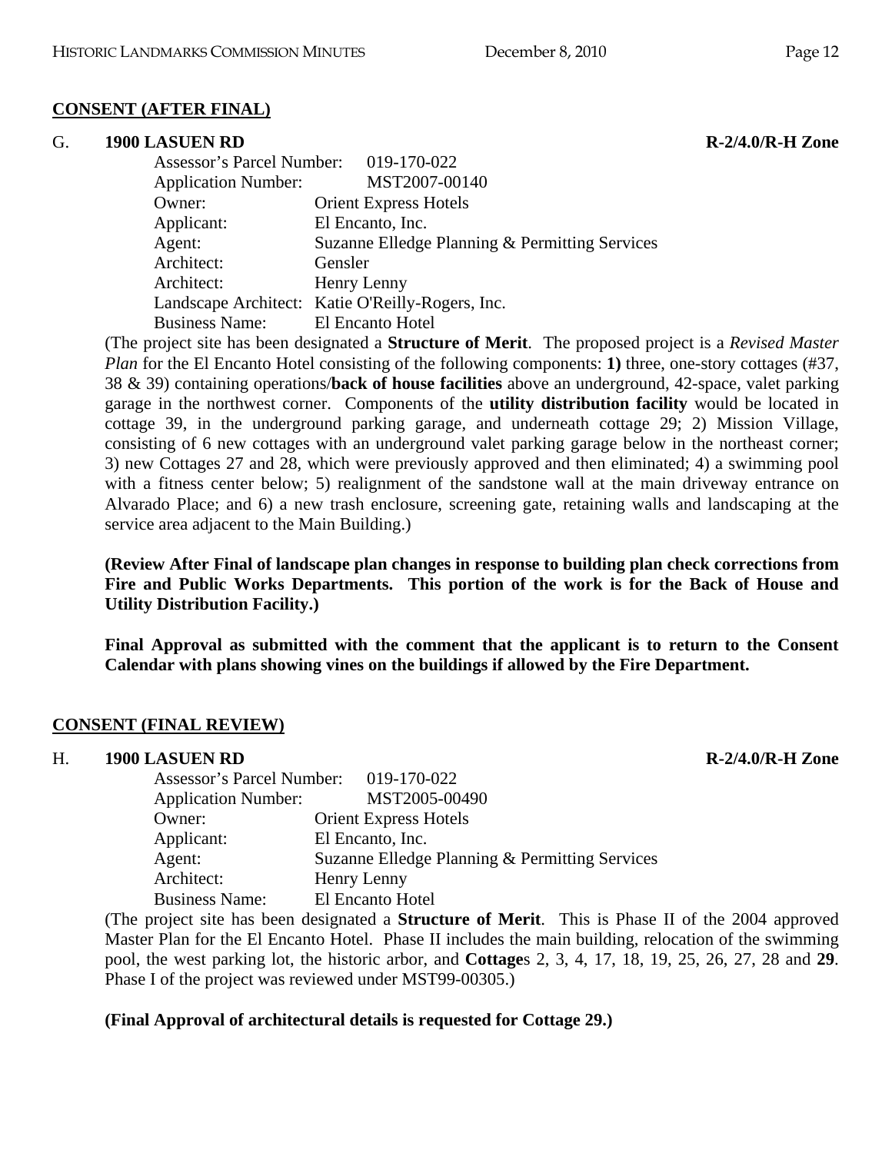## **CONSENT (AFTER FINAL)**

#### G. **1900 LASUEN RD R-2/4.0/R-H Zone**

 Assessor's Parcel Number: 019-170-022 Application Number: MST2007-00140 Owner: Orient Express Hotels Applicant: El Encanto, Inc. Agent: Suzanne Elledge Planning & Permitting Services Architect: Gensler Architect: Henry Lenny Landscape Architect: Katie O'Reilly-Rogers, Inc. Business Name: El Encanto Hotel

(The project site has been designated a **Structure of Merit**. The proposed project is a *Revised Master Plan* for the El Encanto Hotel consisting of the following components: **1)** three, one-story cottages (#37, 38 & 39) containing operations/**back of house facilities** above an underground, 42-space, valet parking garage in the northwest corner. Components of the **utility distribution facility** would be located in cottage 39, in the underground parking garage, and underneath cottage 29; 2) Mission Village, consisting of 6 new cottages with an underground valet parking garage below in the northeast corner; 3) new Cottages 27 and 28, which were previously approved and then eliminated; 4) a swimming pool with a fitness center below; 5) realignment of the sandstone wall at the main driveway entrance on Alvarado Place; and 6) a new trash enclosure, screening gate, retaining walls and landscaping at the service area adjacent to the Main Building.)

**(Review After Final of landscape plan changes in response to building plan check corrections from Fire and Public Works Departments. This portion of the work is for the Back of House and Utility Distribution Facility.)** 

**Final Approval as submitted with the comment that the applicant is to return to the Consent Calendar with plans showing vines on the buildings if allowed by the Fire Department.** 

#### **CONSENT (FINAL REVIEW)**

#### H. **1900 LASUEN RD R-2/4.0/R-H Zone**

| Assessor's Parcel Number: 019-170-022 |                                                |
|---------------------------------------|------------------------------------------------|
| <b>Application Number:</b>            | MST2005-00490                                  |
| Owner:                                | <b>Orient Express Hotels</b>                   |
| Applicant:                            | El Encanto, Inc.                               |
| Agent:                                | Suzanne Elledge Planning & Permitting Services |
| Architect:                            | Henry Lenny                                    |
| <b>Business Name:</b>                 | El Encanto Hotel                               |
|                                       |                                                |

(The project site has been designated a **Structure of Merit**. This is Phase II of the 2004 approved Master Plan for the El Encanto Hotel. Phase II includes the main building, relocation of the swimming pool, the west parking lot, the historic arbor, and **Cottage**s 2, 3, 4, 17, 18, 19, 25, 26, 27, 28 and **29**. Phase I of the project was reviewed under MST99-00305.)

#### **(Final Approval of architectural details is requested for Cottage 29.)**